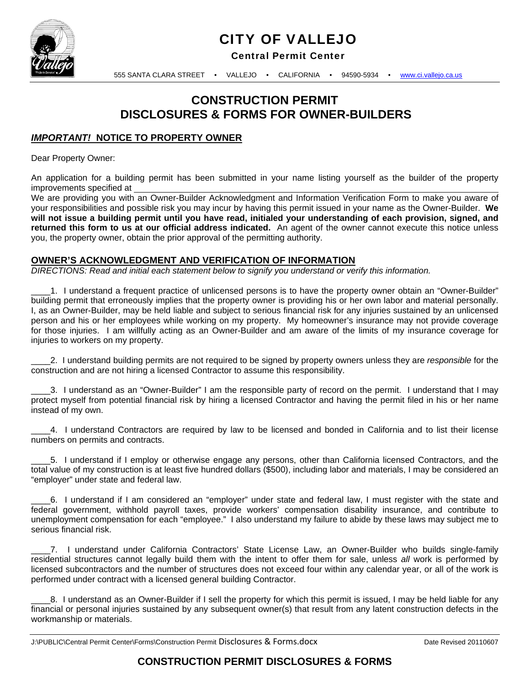

# CITY OF VALLEJO

Central Permit Center

555 SANTA CLARA STREET • VALLEJO • CALIFORNIA • 94590-5934 • www.ci.vallejo.ca.us

# **CONSTRUCTION PERMIT DISCLOSURES & FORMS FOR OWNER-BUILDERS**

### *IMPORTANT!* **NOTICE TO PROPERTY OWNER**

Dear Property Owner:

An application for a building permit has been submitted in your name listing yourself as the builder of the property improvements specified at

We are providing you with an Owner-Builder Acknowledgment and Information Verification Form to make you aware of your responsibilities and possible risk you may incur by having this permit issued in your name as the Owner-Builder. **We will not issue a building permit until you have read, initialed your understanding of each provision, signed, and returned this form to us at our official address indicated.** An agent of the owner cannot execute this notice unless you, the property owner, obtain the prior approval of the permitting authority.

#### **OWNER'S ACKNOWLEDGMENT AND VERIFICATION OF INFORMATION**

*DIRECTIONS: Read and initial each statement below to signify you understand or verify this information.* 

\_\_\_\_1. I understand a frequent practice of unlicensed persons is to have the property owner obtain an "Owner-Builder" building permit that erroneously implies that the property owner is providing his or her own labor and material personally. I, as an Owner-Builder, may be held liable and subject to serious financial risk for any injuries sustained by an unlicensed person and his or her employees while working on my property. My homeowner's insurance may not provide coverage for those injuries. I am willfully acting as an Owner-Builder and am aware of the limits of my insurance coverage for injuries to workers on my property.

\_\_\_\_2. I understand building permits are not required to be signed by property owners unless they are *responsible* for the construction and are not hiring a licensed Contractor to assume this responsibility.

\_\_\_\_3. I understand as an "Owner-Builder" I am the responsible party of record on the permit. I understand that I may protect myself from potential financial risk by hiring a licensed Contractor and having the permit filed in his or her name instead of my own.

\_\_\_\_4. I understand Contractors are required by law to be licensed and bonded in California and to list their license numbers on permits and contracts.

\_\_\_\_5. I understand if I employ or otherwise engage any persons, other than California licensed Contractors, and the total value of my construction is at least five hundred dollars (\$500), including labor and materials, I may be considered an "employer" under state and federal law.

\_\_\_\_6. I understand if I am considered an "employer" under state and federal law, I must register with the state and federal government, withhold payroll taxes, provide workers' compensation disability insurance, and contribute to unemployment compensation for each "employee." I also understand my failure to abide by these laws may subject me to serious financial risk.

\_\_\_\_7. I understand under California Contractors' State License Law, an Owner-Builder who builds single-family residential structures cannot legally build them with the intent to offer them for sale, unless *all* work is performed by licensed subcontractors and the number of structures does not exceed four within any calendar year, or all of the work is performed under contract with a licensed general building Contractor.

\_\_\_\_8. I understand as an Owner-Builder if I sell the property for which this permit is issued, I may be held liable for any financial or personal injuries sustained by any subsequent owner(s) that result from any latent construction defects in the workmanship or materials.

J:\PUBLIC\Central Permit Center\Forms\Construction Permit Disclosures & Forms.docx Date Revised 20110607